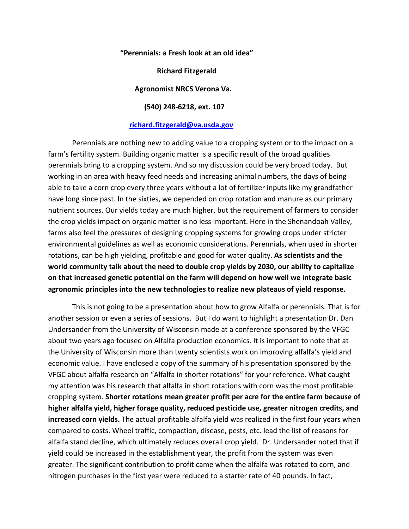**"Perennials: a Fresh look at an old idea"**

 **Richard Fitzgerald**

 **Agronomist NRCS Verona Va.**

**(540) 248-6218, ext. 107**

## **[richard.fitzgerald@va.usda.gov](mailto:richard.fitzgerald@va.usda.gov)**

Perennials are nothing new to adding value to a cropping system or to the impact on a farm's fertility system. Building organic matter is a specific result of the broad qualities perennials bring to a cropping system. And so my discussion could be very broad today. But working in an area with heavy feed needs and increasing animal numbers, the days of being able to take a corn crop every three years without a lot of fertilizer inputs like my grandfather have long since past. In the sixties, we depended on crop rotation and manure as our primary nutrient sources. Our yields today are much higher, but the requirement of farmers to consider the crop yields impact on organic matter is no less important. Here in the Shenandoah Valley, farms also feel the pressures of designing cropping systems for growing crops under stricter environmental guidelines as well as economic considerations. Perennials, when used in shorter rotations, can be high yielding, profitable and good for water quality. **As scientists and the world community talk about the need to double crop yields by 2030, our ability to capitalize on that increased genetic potential on the farm will depend on how well we integrate basic agronomic principles into the new technologies to realize new plateaus of yield response.** 

This is not going to be a presentation about how to grow Alfalfa or perennials. That is for another session or even a series of sessions. But I do want to highlight a presentation Dr. Dan Undersander from the University of Wisconsin made at a conference sponsored by the VFGC about two years ago focused on Alfalfa production economics. It is important to note that at the University of Wisconsin more than twenty scientists work on improving alfalfa's yield and economic value. I have enclosed a copy of the summary of his presentation sponsored by the VFGC about alfalfa research on "Alfalfa in shorter rotations" for your reference. What caught my attention was his research that alfalfa in short rotations with corn was the most profitable cropping system. **Shorter rotations mean greater profit per acre for the entire farm because of higher alfalfa yield, higher forage quality, reduced pesticide use, greater nitrogen credits, and increased corn yields.** The actual profitable alfalfa yield was realized in the first four years when compared to costs. Wheel traffic, compaction, disease, pests, etc. lead the list of reasons for alfalfa stand decline, which ultimately reduces overall crop yield. Dr. Undersander noted that if yield could be increased in the establishment year, the profit from the system was even greater. The significant contribution to profit came when the alfalfa was rotated to corn, and nitrogen purchases in the first year were reduced to a starter rate of 40 pounds. In fact,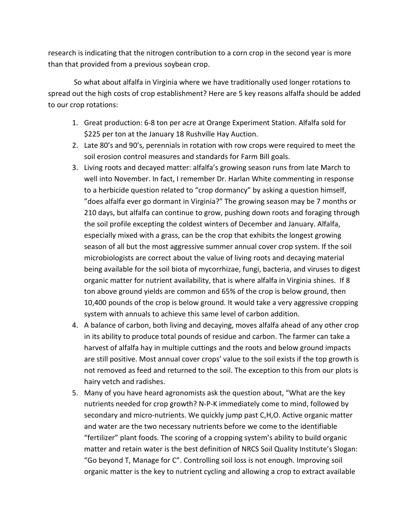research is indicating that the nitrogen contribution to a corn crop in the second year is more than that provided from a previous soybean crop.

So what about alfalfa in Virginia where we have traditionally used longer rotations to spread out the high costs of crop establishment? Here are 5 key reasons alfalfa should be added to our crop rotations:

- 1. Great production: 6-8 ton per acre at Orange Experiment Station. Alfalfa sold for \$225 per ton at the January 18 Rushville Hay Auction.
- 2. Late 80's and 90's, perennials in rotation with row crops were required to meet the soil erosion control measures and standards for Farm Bill goals.
- 3. Living roots and decayed matter: alfalfa's growing season runs from late March to well into November. In fact, I remember Dr. Harlan White commenting in response to a herbicide question related to "crop dormancy" by asking a question himself, "does alfalfa ever go dormant in Virginia?" The growing season may be 7 months or 210 days, but alfalfa can continue to grow, pushing down roots and foraging through the soil profile excepting the coldest winters of December and January. Alfalfa, especially mixed with a grass, can be the crop that exhibits the longest growing season of all but the most aggressive summer annual cover crop system. If the soil microbiologists are correct about the value of living roots and decaying material being available for the soil biota of mycorrhizae, fungi, bacteria, and viruses to digest organic matter for nutrient availability, that is where alfalfa in Virginia shines. If 8 ton above ground yields are common and 65% of the crop is below ground, then 10,400 pounds of the crop is below ground. It would take a very aggressive cropping system with annuals to achieve this same level of carbon addition.
- 4. A balance of carbon, both living and decaying, moves alfalfa ahead of any other crop in its ability to produce total pounds of residue and carbon. The farmer can take a harvest of alfalfa hay in multiple cuttings and the roots and below ground impacts are still positive. Most annual cover crops' value to the soil exists if the top growth is not removed as feed and returned to the soil. The exception to this from our plots is hairy vetch and radishes.
- 5. Many of you have heard agronomists ask the question about, "What are the key nutrients needed for crop growth? N-P-K immediately come to mind, followed by secondary and micro-nutrients. We quickly jump past C,H,O. Active organic matter and water are the two necessary nutrients before we come to the identifiable "fertilizer" plant foods. The scoring of a cropping system's ability to build organic matter and retain water is the best definition of NRCS Soil Quality Institute's Slogan: "Go beyond T, Manage for C". Controlling soil loss is not enough. Improving soil organic matter is the key to nutrient cycling and allowing a crop to extract available